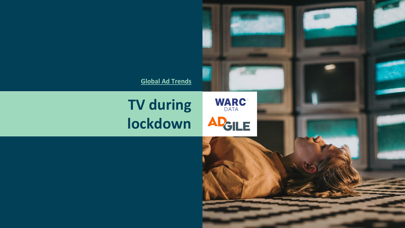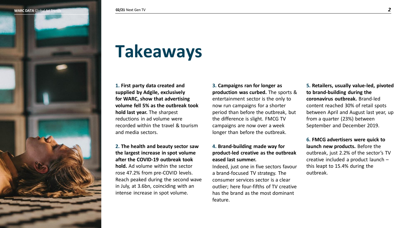

## **Takeaways**

**1. First party data created and supplied by Adgile, exclusively for WARC, show that advertising volume fell 5% as the outbreak took hold last year.** The sharpest reductions in ad volume were recorded within the travel & tourism and media sectors.

**2. The health and beauty sector saw the largest increase in spot volume after the COVID-19 outbreak took hold.** Ad volume within the sector rose 47.2% from pre-COVID levels. Reach peaked during the second wave in July, at 3.6bn, coinciding with an intense increase in spot volume.

**3. Campaigns ran for longer as production was curbed.** The sports & entertainment sector is the only to now run campaigns for a shorter period than before the outbreak, but the difference is slight. FMCG TV campaigns are now over a week longer than before the outbreak.

#### **4. Brand-building made way for product-led creative as the outbreak eased last summer.**

Indeed, just one in five sectors favour a brand-focused TV strategy. The consumer services sector is a clear outlier; here four-fifths of TV creative has the brand as the most dominant feature.

**5. Retailers, usually value-led, pivoted to brand-building during the coronavirus outbreak.** Brand-led content reached 30% of retail spots between April and August last year, up from a quarter (23%) between September and December 2019.

**6. FMCG advertisers were quick to launch new products.** Before the outbreak, just 2.2% of the sector's TV creative included a product launch – this leapt to 15.4% during the outbreak.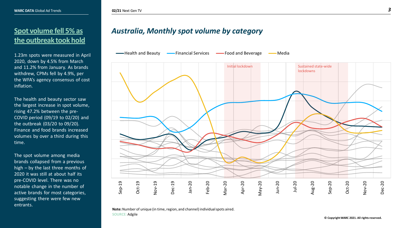#### **Spot volume fell 5% as the outbreak took hold**

1.23m spots were measured in April 2020, down by 4.5% from March and 11.2% from January. As brands withdrew, CPMs fell by 4.9%, per the WFA's agency consensus of cost inflation.

The health and beauty sector saw the largest increase in spot volume, rising 47.2% between the pre-COVID period (09/19 to 02/20) and the outbreak (03/20 to 09/20). Finance and food brands increased volumes by over a third during this time.

The spot volume among media brands collapsed from a previous high – by the last three months of 2020 it was still at about half its pre-COVID level. There was no notable change in the number of active brands for most categories, suggesting there were few new entrants.

### *Australia, Monthly spot volume by category*

-Health and Beauty **Financial Services Food and Beverage Food and Beverage** Aledia



**Note:**Number of unique (in time, region, and channel) individual spots aired. **SOURCE:** Adgile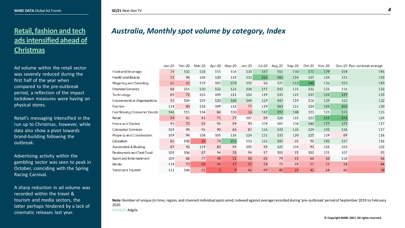#### **Retail, fashion and tech ads intensified ahead of Christmas**

Ad volume within the retail sector was severely reduced during the first half of the year when compared to the pre-outbreak period, a reflection of the impact lockdown measures were having on physical stores.

Retail's messaging intensified in the run up to Christmas, however, while data also show a pivot towards brand-building following the outbreak.

Advertising activity within the gambling sector was seen to peak in October, coinciding with the Spring Racing Carnival.

A sharp reduction in ad volume was recorded within the travel & tourism and media sectors, the latter perhaps hindered by a lack of cinematic releases last year.

### *Australia, Monthly spot volume by category, Index*

|                                  | $Jan-20$ | Feb-20 | Mar-20 | Apr-20 | May-20 | $Jun-20$ | $Jul-20$ | Aug-20 | Sep-20 | $Oct-20$ | <b>Nov-20</b> |     | Dec-20 Post-outbreak average |
|----------------------------------|----------|--------|--------|--------|--------|----------|----------|--------|--------|----------|---------------|-----|------------------------------|
| <b>Food and Beverage</b>         | 79       | 132    | 128    | 115    | 106    | 130      | 167      | 150    | 150    | 170      | 179           | 154 | 145                          |
| <b>Health and Beauty</b>         | 72       | 98     | 106    | 120    | 115    | 131      | 223      | 182    | 154    | 137      | 134           | 131 | 143                          |
| <b>Wagering and Gambling</b>     | 65       | 61     | 119    | 101    | 159    | 131      | 96       | 125    | 163    | 248      | 136           | 153 | 143                          |
| <b>Financial Services</b>        | 88       | 115    | 130    | 132    | 135    | 136      | 147      | 143    | 131    | 132      | 131           | 116 | 133                          |
| Technology                       | 89       | 72     | 105    | 109    | 121    | 124      | 119      | 133    | 125    | 137      | 163           | 197 | 133                          |
| Government or Organisations      | 93       | 104    | 109    | 120    | 160    | 144      | 129      | 147    | 119    | 116      | 139           | 133 | 132                          |
| Fashion                          | 114      | 80     | 116    | 109    | 112    | 77       | 119      | 161    | 121    | 124      | 163           | 202 | 130                          |
| Fast Moving Consumer Goods       | 146      | 115    | 104    | 84     | 100    | 56       | 142      | 197    | 148    | 120      | 121           | 175 | 125                          |
| Retail                           | 59       | 81     | 81     | 71     | 77     | 107      | 89       | 126    | 115    | 123      | 215           | 241 | 124                          |
| Home and Garden                  | 95       | 72     | 82     | 92     | 89     | 93       | 109      | 107    | 104    | 146      | 177           | 172 | 117                          |
| <b>Consumer Services</b>         | 104      | 98     | 95     | 90     | 86     | 87       | 126      | 141    | 135    | 129      | 143           | 136 | 117                          |
| <b>Property and Construction</b> | 109      | 94     | 108    | 105    | 116    | 124      | 131      | 133    | 120    | 125      | 109           | 89  | 116                          |
| Education                        | 85       | 108    | 26     | 74     | 205    | 110      | 125      | 147    | 95     | 98       | 142           | 137 | 116                          |
| Automotive & Boating             | 87       | 92     | 119    | 83     | 94     | 105      | 95       | 120    | 104    | 91       | 102           | 103 | 102                          |
| <b>Restaurants and Fast Food</b> | 109      | 106    | 87     | 94     | 78     | 94       | 97       | 101    | 92     | 102      | 101           | 107 | 95                           |
| Sport and Entertainment          | 109      | 88     | 77     | 40     | 31     | 58       | 65       | 79     | 65     | 66       | 63            | 118 | 66                           |
| Media                            | 114      | 73     | 20     | 24     | 17     | 27       | 54       | 72     | 69     | 53       | 51            | 54  | 44                           |
| <b>Travel and Tourism</b>        | 111      | 106    | 55     | 3      | 9      | 42       | 49       | 40     | 25     | 40       | 54            | 60  | 38                           |

**Note:**Number of unique (in time, region, and channel) individual spots aired, indexed against average recorded during 'pre-outbreak' period of September 2019 to February 2020. **SOURCE:** Adgile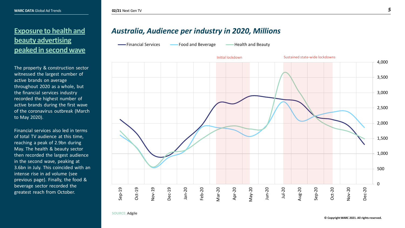#### **Exposure to health and beauty advertising peaked in second wave**

The property & construction sector witnessed the largest number of active brands on average throughout 2020 as a whole, but the financial services industry recorded the highest number of active brands during the first wave of the coronavirus outbreak (March to May 2020).

Financial services also led in terms of total TV audience at this time, reaching a peak of 2.9bn during May. The health & beauty sector then recorded the largest audience in the second wave, peaking at 3.6bn in July. This coincided with an intense rise in ad volume (see previous page). Finally, the food & beverage sector recorded the greatest reach from October.

#### *Australia, Audience per industry in 2020, Millions*

Financial Services **Food and Beverage** Health and Beauty



**SOURCE:** Adgile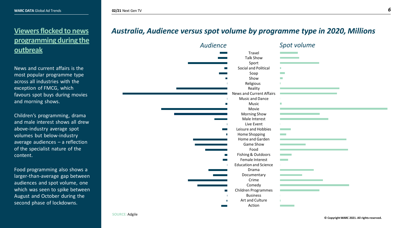#### **Viewers flocked to news programming during the outbreak**

News and current affairs is the most popular programme type across all industries with the exception of FMCG, which favours spot buys during movies and morning shows.

Children's programming, drama and male interest shows all drew above-industry average spot volumes but below-industry average audiences – a reflection of the specialist nature of the content.

Food programming also shows a larger-than-average gap between audiences and spot volume, one which was seen to spike between August and October during the second phase of lockdowns.

#### *Australia, Audience versus spot volume by programme type in 2020, Millions*

| <b>Audience</b>  |                                 | Spot volume              |
|------------------|---------------------------------|--------------------------|
|                  | Travel                          |                          |
|                  | <b>Talk Show</b>                |                          |
|                  | Sport                           |                          |
| l II             | Social and Political            |                          |
|                  | Soap                            | $\sim 100$               |
|                  | Show                            | <b>The State</b>         |
|                  | Religious                       |                          |
|                  | Reality                         |                          |
|                  | <b>News and Current Affairs</b> |                          |
|                  | Music and Dance                 |                          |
|                  | Music                           | П                        |
|                  | Movie                           |                          |
|                  | <b>Morning Show</b>             |                          |
|                  | Male Interest                   |                          |
|                  | Live Event                      |                          |
|                  | Leisure and Hobbies             | <b>Contract Contract</b> |
| П                | Home Shopping                   | <b>The Company</b>       |
|                  | Home and Garden                 |                          |
|                  | Game Show                       |                          |
|                  | Food                            |                          |
| П                | Fishing & Outdoors              | <b>Contract Contract</b> |
|                  | Female Interest                 | <b>Contract Contract</b> |
|                  | <b>Education and Science</b>    |                          |
|                  | Drama                           |                          |
|                  | Documentary                     |                          |
|                  | Crime                           |                          |
|                  | Comedy                          |                          |
| <b>The State</b> | Children Programmes             |                          |
|                  | <b>Business</b>                 |                          |
|                  | Art and Culture                 |                          |
|                  | Action                          |                          |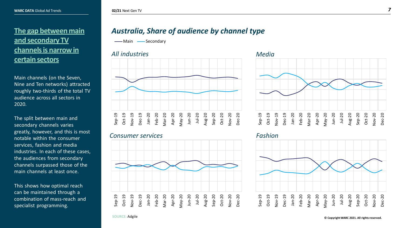#### **The gap between main and secondary TV channels is narrow in certain sectors**

Main channels (on the Seven, Nine and Ten networks) attracted roughly two-thirds of the total TV audience across all sectors in 2020.

The split between main and secondary channels varies greatly, however, and this is most notable within the consumer services, fashion and media industries. In each of these cases, the audiences from secondary channels surpassed those of the main channels at least once.

This shows how optimal reach can be maintained through a combination of mass-reach and specialist programming.

#### *Australia, Share of audience by channel type*

-Main -Secondary

#### *All industries Media*



#### *Consumer services Fashion*







**SOURCE:** Adgile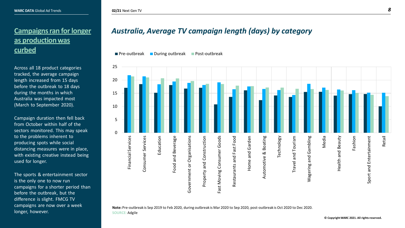#### **Campaigns ran for longer as production was curbed**

Across all 18 product categories tracked, the average campaign length increased from 15 days before the outbreak to 18 days during the months in which Australia was impacted most (March to September 2020).

Campaign duration then fell back from October within half of the sectors monitored. This may speak to the problems inherent to producing spots while social distancing measures were in place, with existing creative instead being used for longer.

The sports & entertainment sector is the only one to now run campaigns for a shorter period than before the outbreak, but the difference is slight. FMCG TV campaigns are now over a week longer, however.

#### *Australia, Average TV campaign length (days) by category*

**Pre-outbreak During outbreak Post-outbreak** 



**Note:** Pre-outbreak is Sep 2019 to Feb 2020, during outbreak is Mar 2020 to Sep 2020, post-outbreak is Oct 2020 to Dec 2020. **SOURCE:** Adgile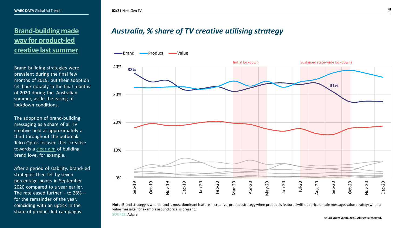#### **Brand-building made way for product-led creative last summer**

Brand-building strategies were prevalent during the final few months of 2019, but their adoption fell back notably in the final months of 2020 during the Australian summer, aside the easing of lockdown conditions.

The adoption of brand-building messaging as a share of all TV creative held at approximately a third throughout the outbreak. Telco Optus focused their creative towards a [clear aim](https://www.warc.com/newsandopinion/opinion/optus-melissa-hopkins-on-marketings-renewed-power-share-of-search-and-rebranding-during-covid-19/3938) of building brand love, for example.

After a period of stability, brand-led strategies then fell by seven percentage points in September 2020 compared to a year earlier. The rate eased further  $-$  to 28%  $$ for the remainder of the year, coinciding with an uptick in the share of product-led campaigns.

#### *Australia, % share of TV creative utilising strategy*

-Brand - Product - Value



**Note:** Brand strategy is when brand is most dominant feature in creative, product strategy when product is featured without price or sale message, value strategy when a value message, for example around price, is present. **SOURCE:** Adgile

 $©$  Copyright WARC 2021. All rights reserved.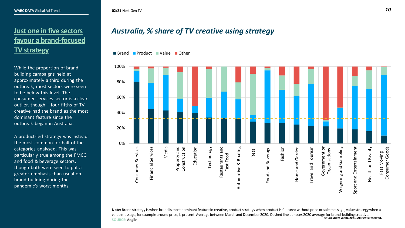#### **02/21** Next Gen TV *10*

#### **Just one in five sectors favour a brand-focused TV strategy**

While the proportion of brandbuilding campaigns held at approximately a third during the outbreak, most sectors were seen to be below this level. The consumer services sector is a clear outlier, though – four-fifths of TV creative had the brand as the most dominant feature since the outbreak began in Australia.

A product-led strategy was instead the most common for half of the categories analysed. This was particularly true among the FMCG and food & beverage sectors, though both were seen to put a greater emphasis than usual on brand-building during the pandemic's worst months.

#### *Australia, % share of TV creative using strategy*

■ Brand ■ Product ■ Value ■ Other



 $\odot$  Copyright WARC 2021. All rights reserved. **Note:** Brand strategy is when brand is most dominant feature in creative, product strategy when product is featured without price or sale message, value strategy when a value message, for example around price, is present. Average between March and December 2020. Dashed line denotes 2020 average for brand-building creative. **SOURCE:** Adgile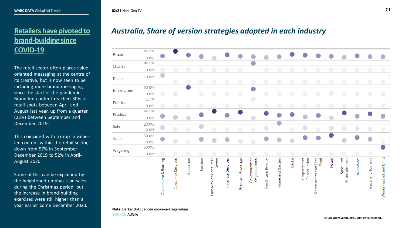## **Retailers have pivoted to brand-building since COVID-19**

The retail sector often places valueoriented messaging at the centre of its creative, but is now seen to be including more brand messaging since the start of the pandemic. Brand-led content reached 30% of retail spots between April and August last year, up from a quarter (23%) between September and December 2019.

This coincided with a drop in valueled content within the retail sector, down from 57% in September-December 2019 to 52% in April-August 2020.

Some of this can be explained by the heightened emphasis on sales during the Christmas period, but the increase in brand-building exercises were still higher than a year earlier come December 2020.



**02/21** Next Gen TV *11*

*Australia, Share of version strategies adopted in each industry*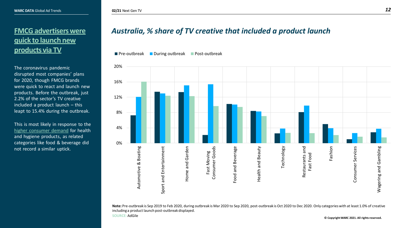#### **FMCG advertisers were quick to launch new products via TV**

The coronavirus pandemic disrupted most companies' plans for 2020, though FMCG brands were quick to react and launch new products. Before the outbreak, just 2.2% of the sector's TV creative included a product launch – this leapt to 15.4% during the outbreak.

This is most likely in response to the [higher consumer demand](https://lp.warc.com/marketers-toolkit-2021-download.html) for health and hygiene products, as related categories like food & beverage did not record a similar uptick.

#### *Australia, % share of TV creative that included a product launch*

**Pre-outbreak During outbreak Post-outbreak** 



**Note:** Pre-outbreak is Sep 2019 to Feb 2020, during outbreak is Mar 2020 to Sep 2020, post-outbreak is Oct 2020 to Dec 2020. Only categories with at least 1.0% of creative including a product launch post-outbreak displayed.

**SOURCE:** AdGile

 $©$  Copyright WARC 2021. All rights reserved.